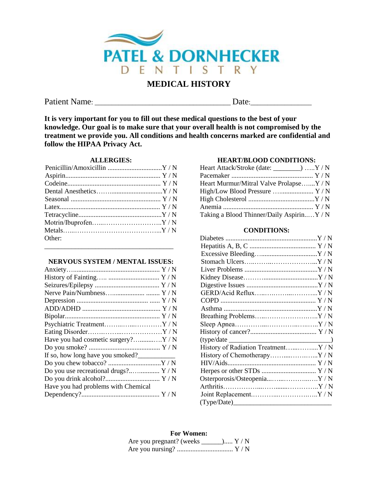

# **MEDICAL HISTORY**

Patient Name: \_\_\_\_\_\_\_\_\_\_\_\_\_\_\_\_\_\_\_\_\_\_\_\_\_\_\_\_\_\_\_\_\_\_\_\_\_\_\_\_ Date:\_\_\_\_\_\_\_\_\_\_\_\_\_\_\_\_\_\_

**It is very important for you to fill out these medical questions to the best of your knowledge. Our goal is to make sure that your overall health is not compromised by the treatment we provide you. All conditions and health concerns marked are confidential and follow the HIPAA Privacy Act.**

#### **ALLERGIES:**

| Other: |  |
|--------|--|
|        |  |

## **NERVOUS SYSTEM / MENTAL ISSUES:**

| Psychiatric TreatmentY/N             |  |
|--------------------------------------|--|
|                                      |  |
|                                      |  |
|                                      |  |
| If so, how long have you smoked?     |  |
|                                      |  |
| Do you use recreational drugs? Y / N |  |
|                                      |  |
| Have you had problems with Chemical  |  |
|                                      |  |
|                                      |  |

## **HEART/BLOOD CONDITIONS:**

| Heart Attack/Stroke (date: ________) Y/N  |  |
|-------------------------------------------|--|
|                                           |  |
| Heart Murmur/Mitral Valve ProlapseY/N     |  |
|                                           |  |
|                                           |  |
|                                           |  |
| Taking a Blood Thinner/Daily AspirinY / N |  |

## **CONDITIONS:**

| GERD/Acid RefluxY/N               |  |
|-----------------------------------|--|
|                                   |  |
|                                   |  |
| Breathing ProblemsY/N             |  |
|                                   |  |
|                                   |  |
| (type/date                        |  |
| History of Radiation TreatmentY/N |  |
| History of ChemotherapyY/N        |  |
|                                   |  |
|                                   |  |
| Osterporosis/OsteopeniaY/N        |  |
|                                   |  |
|                                   |  |
| (Type/Date)                       |  |
|                                   |  |

## **For Women:** Are you pregnant? (weeks \_\_\_\_\_\_\_)......  $Y / N$ Are you nursing? ................................. Y / N